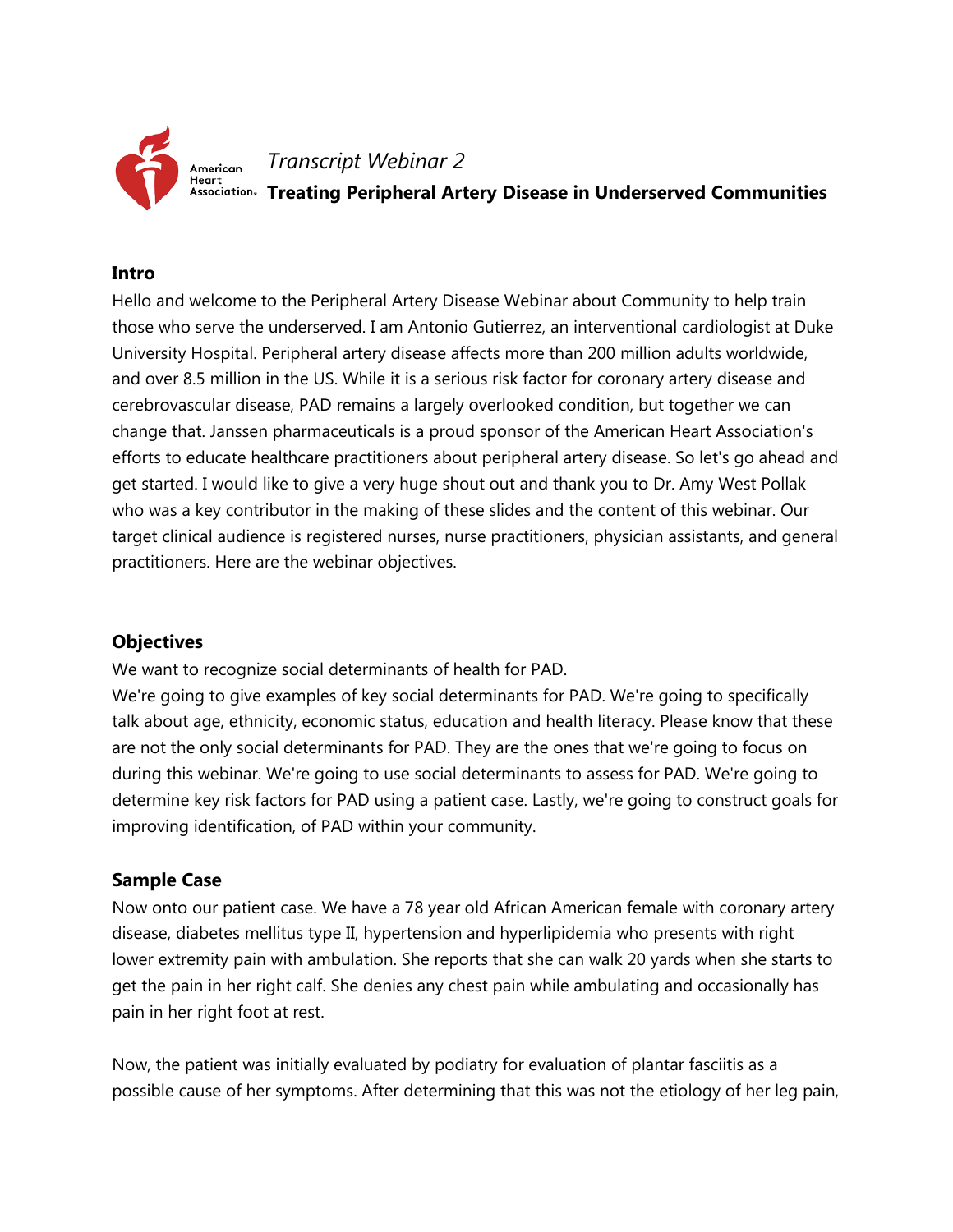

#### **Intro**

Hello and welcome to the Peripheral Artery Disease Webinar about Community to help train those who serve the underserved. I am Antonio Gutierrez, an interventional cardiologist at Duke University Hospital. Peripheral artery disease affects more than 200 million adults worldwide, and over 8.5 million in the US. While it is a serious risk factor for coronary artery disease and cerebrovascular disease, PAD remains a largely overlooked condition, but together we can change that. Janssen pharmaceuticals is a proud sponsor of the American Heart Association's efforts to educate healthcare practitioners about peripheral artery disease. So let's go ahead and get started. I would like to give a very huge shout out and thank you to Dr. Amy West Pollak who was a key contributor in the making of these slides and the content of this webinar. Our target clinical audience is registered nurses, nurse practitioners, physician assistants, and general practitioners. Here are the webinar objectives.

### **Objectives**

We want to recognize social determinants of health for PAD.

We're going to give examples of key social determinants for PAD. We're going to specifically talk about age, ethnicity, economic status, education and health literacy. Please know that these are not the only social determinants for PAD. They are the ones that we're going to focus on during this webinar. We're going to use social determinants to assess for PAD. We're going to determine key risk factors for PAD using a patient case. Lastly, we're going to construct goals for improving identification, of PAD within your community.

### **Sample Case**

Now onto our patient case. We have a 78 year old African American female with coronary artery disease, diabetes mellitus type II, hypertension and hyperlipidemia who presents with right lower extremity pain with ambulation. She reports that she can walk 20 yards when she starts to get the pain in her right calf. She denies any chest pain while ambulating and occasionally has pain in her right foot at rest.

Now, the patient was initially evaluated by podiatry for evaluation of plantar fasciitis as a possible cause of her symptoms. After determining that this was not the etiology of her leg pain,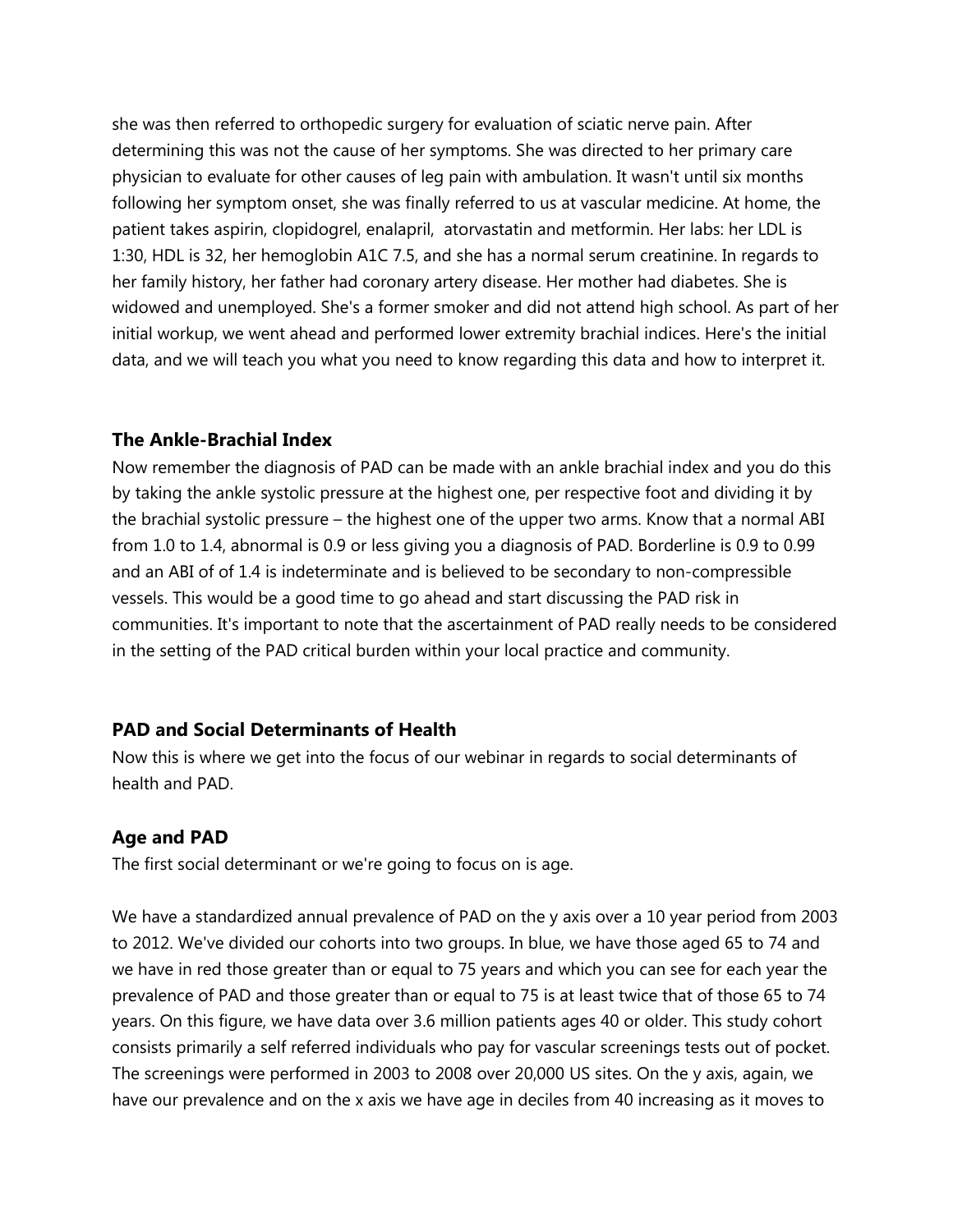she was then referred to orthopedic surgery for evaluation of sciatic nerve pain. After determining this was not the cause of her symptoms. She was directed to her primary care physician to evaluate for other causes of leg pain with ambulation. It wasn't until six months following her symptom onset, she was finally referred to us at vascular medicine. At home, the patient takes aspirin, clopidogrel, enalapril, atorvastatin and metformin. Her labs: her LDL is 1:30, HDL is 32, her hemoglobin A1C 7.5, and she has a normal serum creatinine. In regards to her family history, her father had coronary artery disease. Her mother had diabetes. She is widowed and unemployed. She's a former smoker and did not attend high school. As part of her initial workup, we went ahead and performed lower extremity brachial indices. Here's the initial data, and we will teach you what you need to know regarding this data and how to interpret it.

### **The Ankle-Brachial Index**

Now remember the diagnosis of PAD can be made with an ankle brachial index and you do this by taking the ankle systolic pressure at the highest one, per respective foot and dividing it by the brachial systolic pressure – the highest one of the upper two arms. Know that a normal ABI from 1.0 to 1.4, abnormal is 0.9 or less giving you a diagnosis of PAD. Borderline is 0.9 to 0.99 and an ABI of of 1.4 is indeterminate and is believed to be secondary to non-compressible vessels. This would be a good time to go ahead and start discussing the PAD risk in communities. It's important to note that the ascertainment of PAD really needs to be considered in the setting of the PAD critical burden within your local practice and community.

### **PAD and Social Determinants of Health**

Now this is where we get into the focus of our webinar in regards to social determinants of health and PAD.

### **Age and PAD**

The first social determinant or we're going to focus on is age.

We have a standardized annual prevalence of PAD on the y axis over a 10 year period from 2003 to 2012. We've divided our cohorts into two groups. In blue, we have those aged 65 to 74 and we have in red those greater than or equal to 75 years and which you can see for each year the prevalence of PAD and those greater than or equal to 75 is at least twice that of those 65 to 74 years. On this figure, we have data over 3.6 million patients ages 40 or older. This study cohort consists primarily a self referred individuals who pay for vascular screenings tests out of pocket. The screenings were performed in 2003 to 2008 over 20,000 US sites. On the y axis, again, we have our prevalence and on the x axis we have age in deciles from 40 increasing as it moves to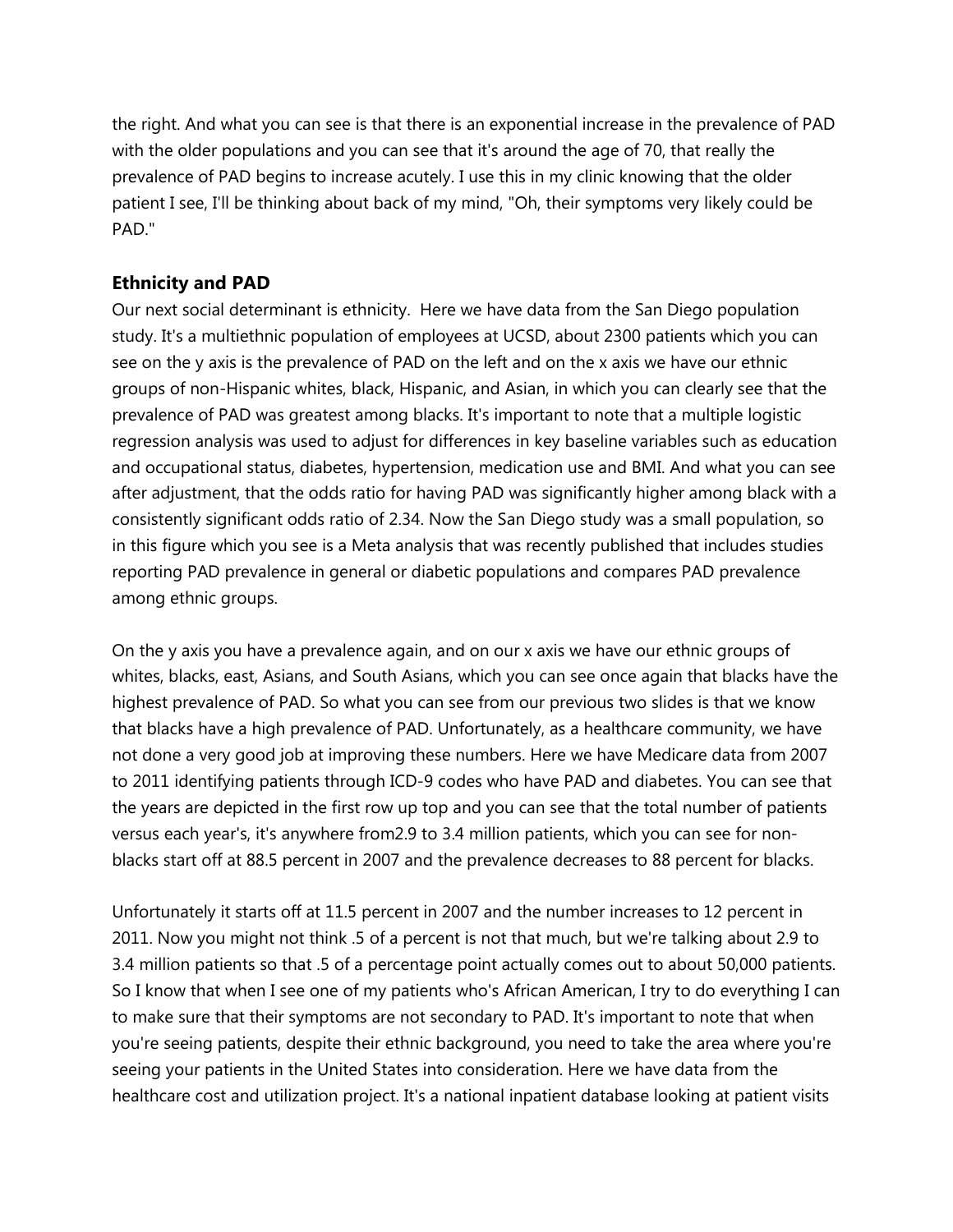the right. And what you can see is that there is an exponential increase in the prevalence of PAD with the older populations and you can see that it's around the age of 70, that really the prevalence of PAD begins to increase acutely. I use this in my clinic knowing that the older patient I see, I'll be thinking about back of my mind, "Oh, their symptoms very likely could be PAD."

### **Ethnicity and PAD**

Our next social determinant is ethnicity. Here we have data from the San Diego population study. It's a multiethnic population of employees at UCSD, about 2300 patients which you can see on the y axis is the prevalence of PAD on the left and on the x axis we have our ethnic groups of non-Hispanic whites, black, Hispanic, and Asian, in which you can clearly see that the prevalence of PAD was greatest among blacks. It's important to note that a multiple logistic regression analysis was used to adjust for differences in key baseline variables such as education and occupational status, diabetes, hypertension, medication use and BMI. And what you can see after adjustment, that the odds ratio for having PAD was significantly higher among black with a consistently significant odds ratio of 2.34. Now the San Diego study was a small population, so in this figure which you see is a Meta analysis that was recently published that includes studies reporting PAD prevalence in general or diabetic populations and compares PAD prevalence among ethnic groups.

On the y axis you have a prevalence again, and on our x axis we have our ethnic groups of whites, blacks, east, Asians, and South Asians, which you can see once again that blacks have the highest prevalence of PAD. So what you can see from our previous two slides is that we know that blacks have a high prevalence of PAD. Unfortunately, as a healthcare community, we have not done a very good job at improving these numbers. Here we have Medicare data from 2007 to 2011 identifying patients through ICD-9 codes who have PAD and diabetes. You can see that the years are depicted in the first row up top and you can see that the total number of patients versus each year's, it's anywhere from2.9 to 3.4 million patients, which you can see for nonblacks start off at 88.5 percent in 2007 and the prevalence decreases to 88 percent for blacks.

Unfortunately it starts off at 11.5 percent in 2007 and the number increases to 12 percent in 2011. Now you might not think .5 of a percent is not that much, but we're talking about 2.9 to 3.4 million patients so that .5 of a percentage point actually comes out to about 50,000 patients. So I know that when I see one of my patients who's African American, I try to do everything I can to make sure that their symptoms are not secondary to PAD. It's important to note that when you're seeing patients, despite their ethnic background, you need to take the area where you're seeing your patients in the United States into consideration. Here we have data from the healthcare cost and utilization project. It's a national inpatient database looking at patient visits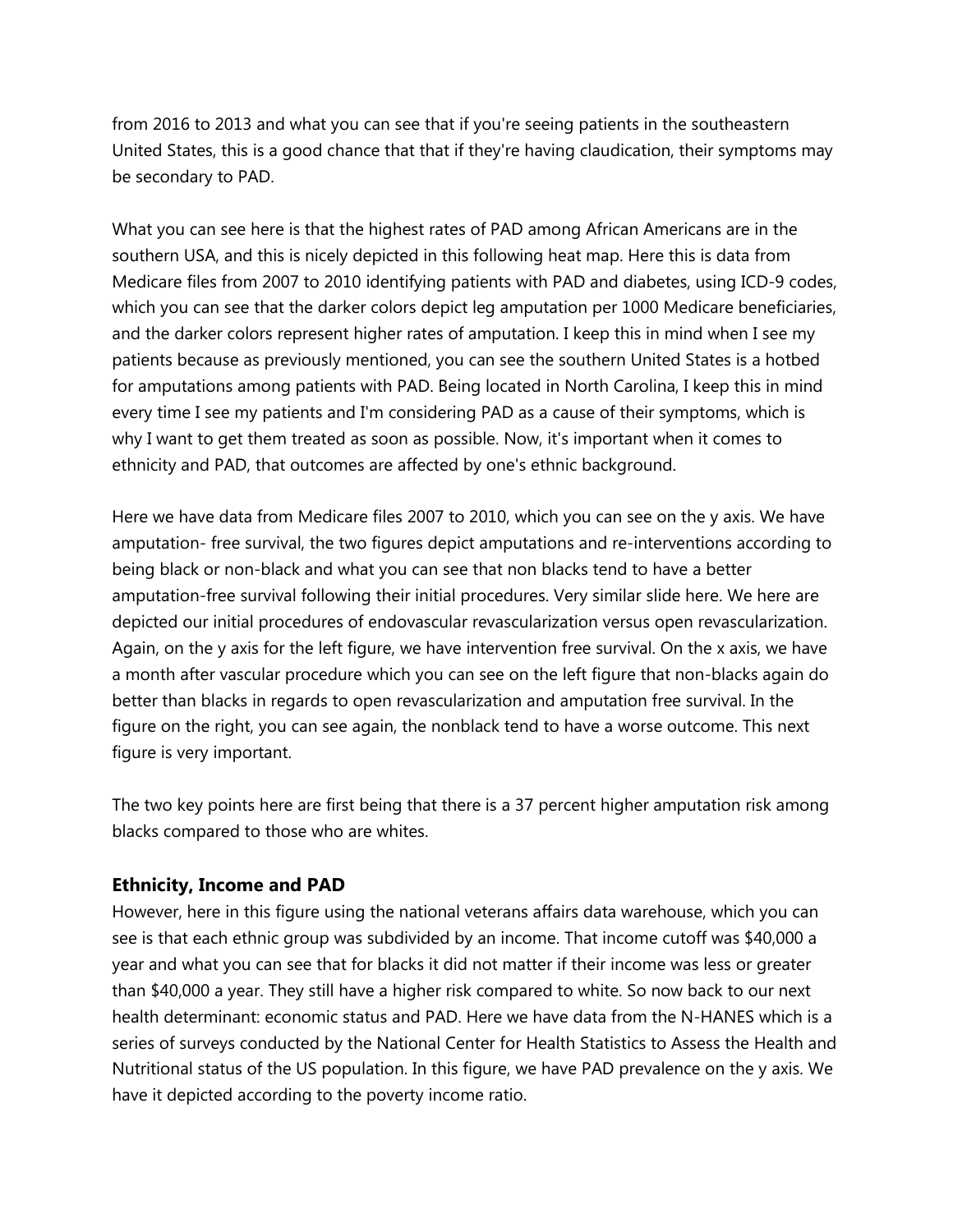from 2016 to 2013 and what you can see that if you're seeing patients in the southeastern United States, this is a good chance that that if they're having claudication, their symptoms may be secondary to PAD.

What you can see here is that the highest rates of PAD among African Americans are in the southern USA, and this is nicely depicted in this following heat map. Here this is data from Medicare files from 2007 to 2010 identifying patients with PAD and diabetes, using ICD-9 codes, which you can see that the darker colors depict leg amputation per 1000 Medicare beneficiaries, and the darker colors represent higher rates of amputation. I keep this in mind when I see my patients because as previously mentioned, you can see the southern United States is a hotbed for amputations among patients with PAD. Being located in North Carolina, I keep this in mind every time I see my patients and I'm considering PAD as a cause of their symptoms, which is why I want to get them treated as soon as possible. Now, it's important when it comes to ethnicity and PAD, that outcomes are affected by one's ethnic background.

Here we have data from Medicare files 2007 to 2010, which you can see on the y axis. We have amputation- free survival, the two figures depict amputations and re-interventions according to being black or non-black and what you can see that non blacks tend to have a better amputation-free survival following their initial procedures. Very similar slide here. We here are depicted our initial procedures of endovascular revascularization versus open revascularization. Again, on the y axis for the left figure, we have intervention free survival. On the x axis, we have a month after vascular procedure which you can see on the left figure that non-blacks again do better than blacks in regards to open revascularization and amputation free survival. In the figure on the right, you can see again, the nonblack tend to have a worse outcome. This next figure is very important.

The two key points here are first being that there is a 37 percent higher amputation risk among blacks compared to those who are whites.

### **Ethnicity, Income and PAD**

However, here in this figure using the national veterans affairs data warehouse, which you can see is that each ethnic group was subdivided by an income. That income cutoff was \$40,000 a year and what you can see that for blacks it did not matter if their income was less or greater than \$40,000 a year. They still have a higher risk compared to white. So now back to our next health determinant: economic status and PAD. Here we have data from the N-HANES which is a series of surveys conducted by the National Center for Health Statistics to Assess the Health and Nutritional status of the US population. In this figure, we have PAD prevalence on the y axis. We have it depicted according to the poverty income ratio.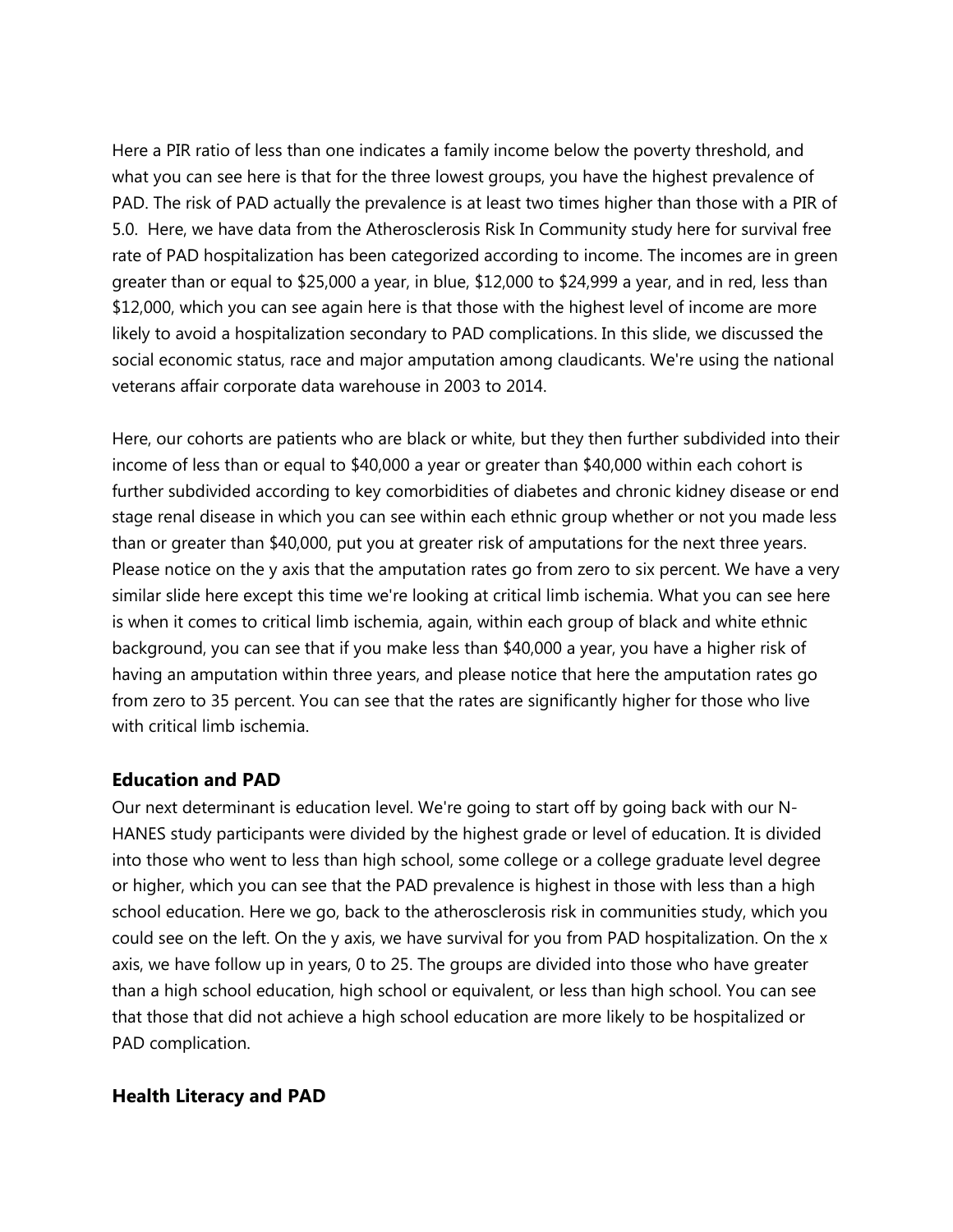Here a PIR ratio of less than one indicates a family income below the poverty threshold, and what you can see here is that for the three lowest groups, you have the highest prevalence of PAD. The risk of PAD actually the prevalence is at least two times higher than those with a PIR of 5.0. Here, we have data from the Atherosclerosis Risk In Community study here for survival free rate of PAD hospitalization has been categorized according to income. The incomes are in green greater than or equal to \$25,000 a year, in blue, \$12,000 to \$24,999 a year, and in red, less than \$12,000, which you can see again here is that those with the highest level of income are more likely to avoid a hospitalization secondary to PAD complications. In this slide, we discussed the social economic status, race and major amputation among claudicants. We're using the national veterans affair corporate data warehouse in 2003 to 2014.

Here, our cohorts are patients who are black or white, but they then further subdivided into their income of less than or equal to \$40,000 a year or greater than \$40,000 within each cohort is further subdivided according to key comorbidities of diabetes and chronic kidney disease or end stage renal disease in which you can see within each ethnic group whether or not you made less than or greater than \$40,000, put you at greater risk of amputations for the next three years. Please notice on the y axis that the amputation rates go from zero to six percent. We have a very similar slide here except this time we're looking at critical limb ischemia. What you can see here is when it comes to critical limb ischemia, again, within each group of black and white ethnic background, you can see that if you make less than \$40,000 a year, you have a higher risk of having an amputation within three years, and please notice that here the amputation rates go from zero to 35 percent. You can see that the rates are significantly higher for those who live with critical limb ischemia.

### **Education and PAD**

Our next determinant is education level. We're going to start off by going back with our N-HANES study participants were divided by the highest grade or level of education. It is divided into those who went to less than high school, some college or a college graduate level degree or higher, which you can see that the PAD prevalence is highest in those with less than a high school education. Here we go, back to the atherosclerosis risk in communities study, which you could see on the left. On the y axis, we have survival for you from PAD hospitalization. On the x axis, we have follow up in years, 0 to 25. The groups are divided into those who have greater than a high school education, high school or equivalent, or less than high school. You can see that those that did not achieve a high school education are more likely to be hospitalized or PAD complication.

### **Health Literacy and PAD**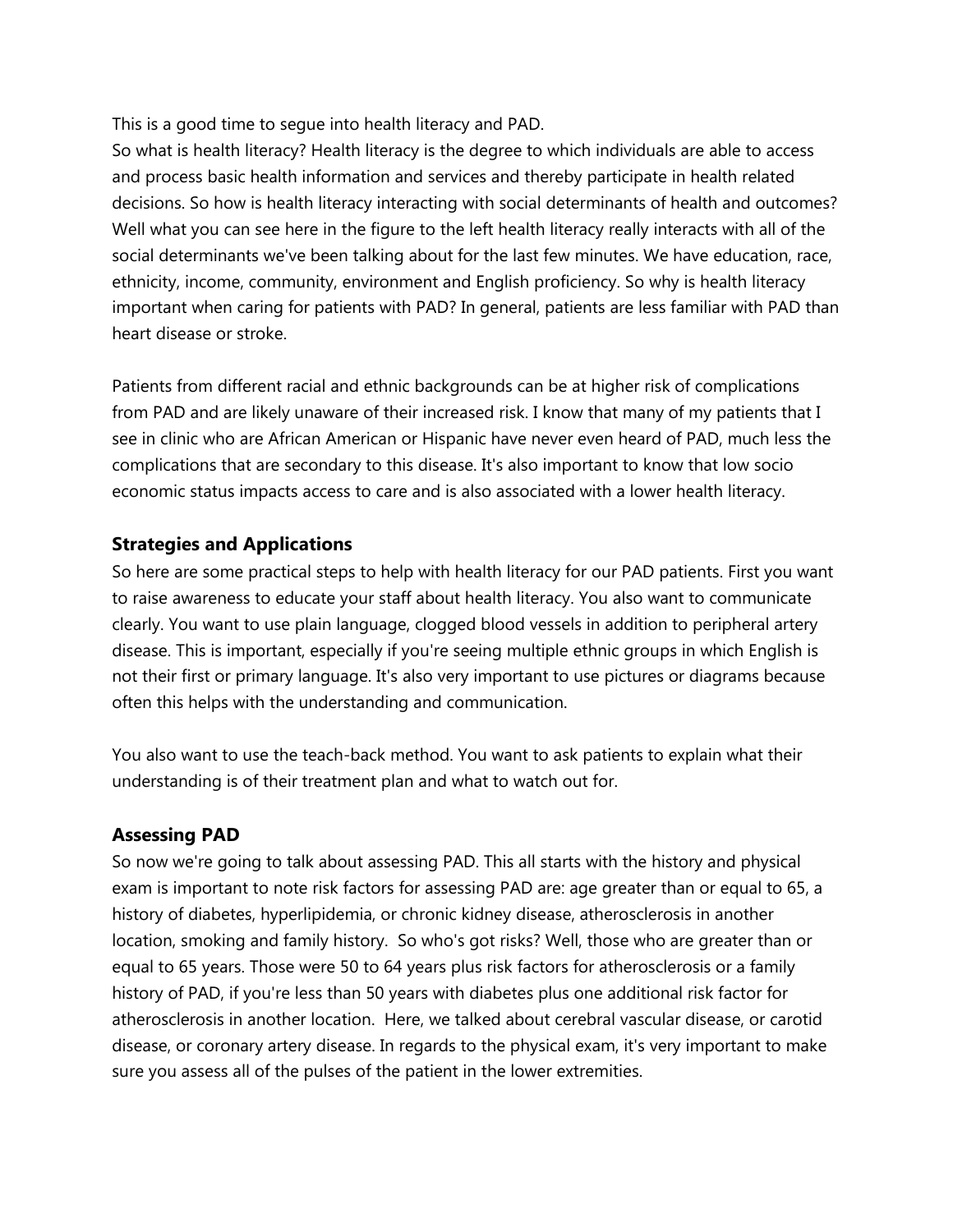This is a good time to segue into health literacy and PAD.

So what is health literacy? Health literacy is the degree to which individuals are able to access and process basic health information and services and thereby participate in health related decisions. So how is health literacy interacting with social determinants of health and outcomes? Well what you can see here in the figure to the left health literacy really interacts with all of the social determinants we've been talking about for the last few minutes. We have education, race, ethnicity, income, community, environment and English proficiency. So why is health literacy important when caring for patients with PAD? In general, patients are less familiar with PAD than heart disease or stroke.

Patients from different racial and ethnic backgrounds can be at higher risk of complications from PAD and are likely unaware of their increased risk. I know that many of my patients that I see in clinic who are African American or Hispanic have never even heard of PAD, much less the complications that are secondary to this disease. It's also important to know that low socio economic status impacts access to care and is also associated with a lower health literacy.

## **Strategies and Applications**

So here are some practical steps to help with health literacy for our PAD patients. First you want to raise awareness to educate your staff about health literacy. You also want to communicate clearly. You want to use plain language, clogged blood vessels in addition to peripheral artery disease. This is important, especially if you're seeing multiple ethnic groups in which English is not their first or primary language. It's also very important to use pictures or diagrams because often this helps with the understanding and communication.

You also want to use the teach-back method. You want to ask patients to explain what their understanding is of their treatment plan and what to watch out for.

# **Assessing PAD**

So now we're going to talk about assessing PAD. This all starts with the history and physical exam is important to note risk factors for assessing PAD are: age greater than or equal to 65, a history of diabetes, hyperlipidemia, or chronic kidney disease, atherosclerosis in another location, smoking and family history. So who's got risks? Well, those who are greater than or equal to 65 years. Those were 50 to 64 years plus risk factors for atherosclerosis or a family history of PAD, if you're less than 50 years with diabetes plus one additional risk factor for atherosclerosis in another location. Here, we talked about cerebral vascular disease, or carotid disease, or coronary artery disease. In regards to the physical exam, it's very important to make sure you assess all of the pulses of the patient in the lower extremities.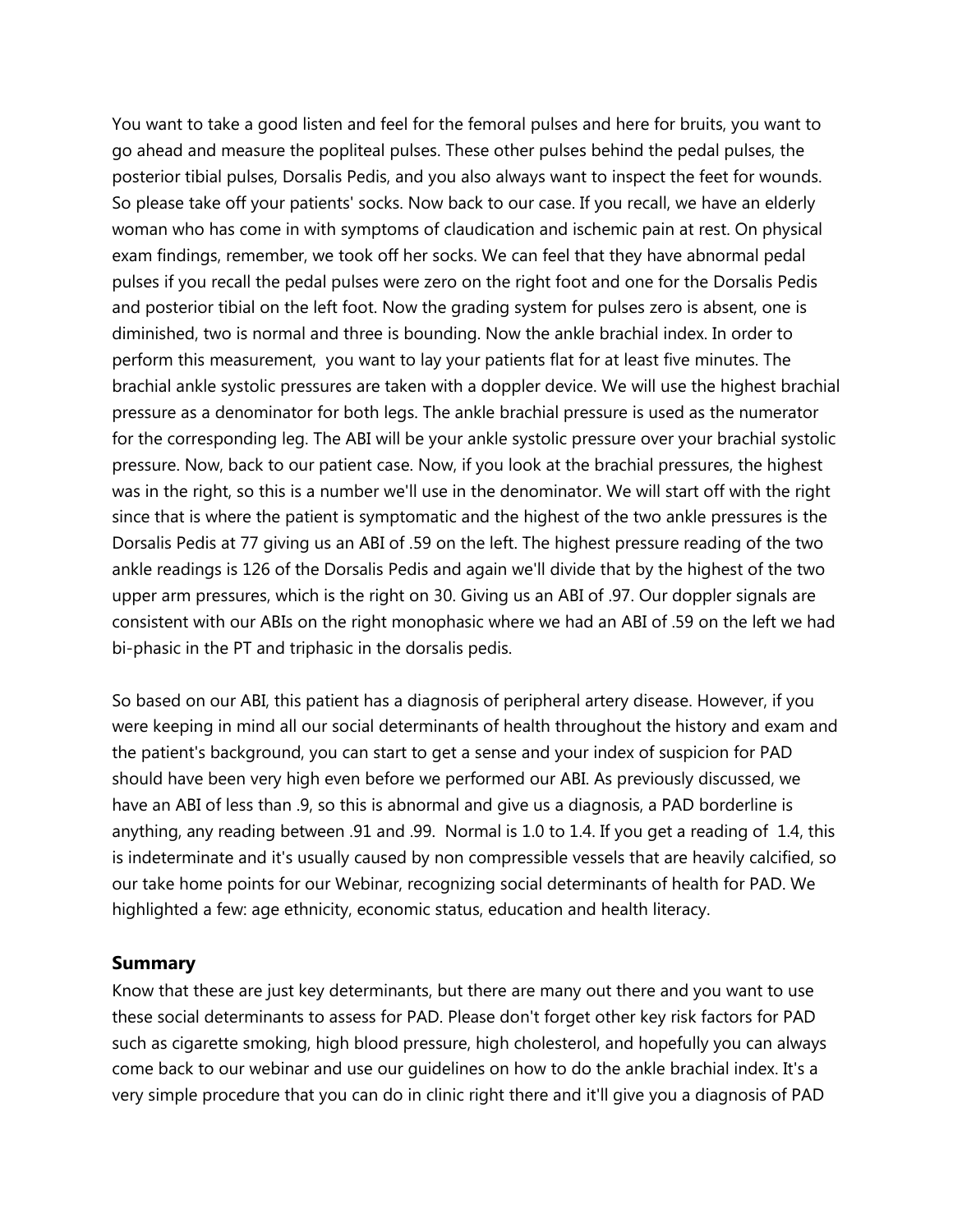You want to take a good listen and feel for the femoral pulses and here for bruits, you want to go ahead and measure the popliteal pulses. These other pulses behind the pedal pulses, the posterior tibial pulses, Dorsalis Pedis, and you also always want to inspect the feet for wounds. So please take off your patients' socks. Now back to our case. If you recall, we have an elderly woman who has come in with symptoms of claudication and ischemic pain at rest. On physical exam findings, remember, we took off her socks. We can feel that they have abnormal pedal pulses if you recall the pedal pulses were zero on the right foot and one for the Dorsalis Pedis and posterior tibial on the left foot. Now the grading system for pulses zero is absent, one is diminished, two is normal and three is bounding. Now the ankle brachial index. In order to perform this measurement, you want to lay your patients flat for at least five minutes. The brachial ankle systolic pressures are taken with a doppler device. We will use the highest brachial pressure as a denominator for both legs. The ankle brachial pressure is used as the numerator for the corresponding leg. The ABI will be your ankle systolic pressure over your brachial systolic pressure. Now, back to our patient case. Now, if you look at the brachial pressures, the highest was in the right, so this is a number we'll use in the denominator. We will start off with the right since that is where the patient is symptomatic and the highest of the two ankle pressures is the Dorsalis Pedis at 77 giving us an ABI of .59 on the left. The highest pressure reading of the two ankle readings is 126 of the Dorsalis Pedis and again we'll divide that by the highest of the two upper arm pressures, which is the right on 30. Giving us an ABI of .97. Our doppler signals are consistent with our ABIs on the right monophasic where we had an ABI of .59 on the left we had bi-phasic in the PT and triphasic in the dorsalis pedis.

So based on our ABI, this patient has a diagnosis of peripheral artery disease. However, if you were keeping in mind all our social determinants of health throughout the history and exam and the patient's background, you can start to get a sense and your index of suspicion for PAD should have been very high even before we performed our ABI. As previously discussed, we have an ABI of less than .9, so this is abnormal and give us a diagnosis, a PAD borderline is anything, any reading between .91 and .99. Normal is 1.0 to 1.4. If you get a reading of 1.4, this is indeterminate and it's usually caused by non compressible vessels that are heavily calcified, so our take home points for our Webinar, recognizing social determinants of health for PAD. We highlighted a few: age ethnicity, economic status, education and health literacy.

#### **Summary**

Know that these are just key determinants, but there are many out there and you want to use these social determinants to assess for PAD. Please don't forget other key risk factors for PAD such as cigarette smoking, high blood pressure, high cholesterol, and hopefully you can always come back to our webinar and use our guidelines on how to do the ankle brachial index. It's a very simple procedure that you can do in clinic right there and it'll give you a diagnosis of PAD